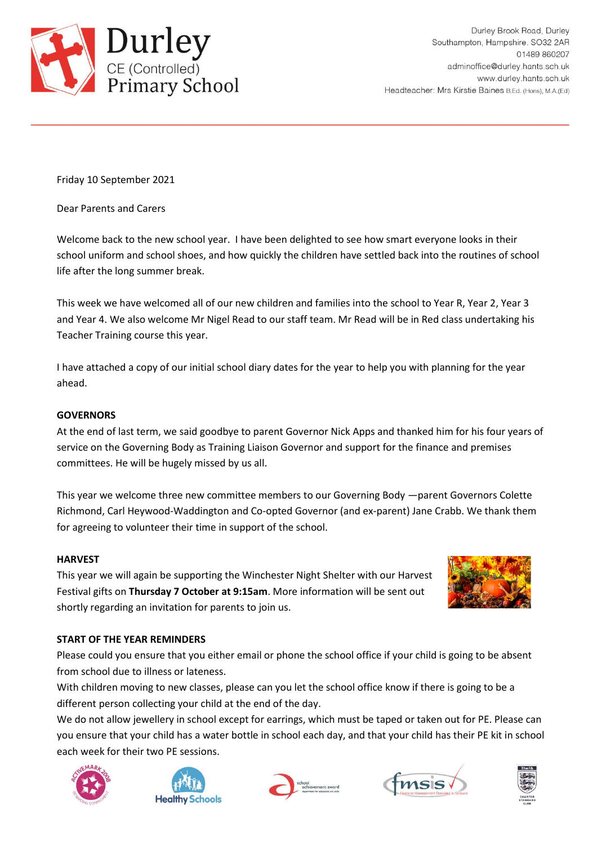

Friday 10 September 2021

Dear Parents and Carers

Welcome back to the new school year. I have been delighted to see how smart everyone looks in their school uniform and school shoes, and how quickly the children have settled back into the routines of school life after the long summer break.

This week we have welcomed all of our new children and families into the school to Year R, Year 2, Year 3 and Year 4. We also welcome Mr Nigel Read to our staff team. Mr Read will be in Red class undertaking his Teacher Training course this year.

I have attached a copy of our initial school diary dates for the year to help you with planning for the year ahead.

# **GOVERNORS**

At the end of last term, we said goodbye to parent Governor Nick Apps and thanked him for his four years of service on the Governing Body as Training Liaison Governor and support for the finance and premises committees. He will be hugely missed by us all.

This year we welcome three new committee members to our Governing Body —parent Governors Colette Richmond, Carl Heywood-Waddington and Co-opted Governor (and ex-parent) Jane Crabb. We thank them for agreeing to volunteer their time in support of the school.

## **HARVEST**

This year we will again be supporting the Winchester Night Shelter with our Harvest Festival gifts on **Thursday 7 October at 9:15am**. More information will be sent out shortly regarding an invitation for parents to join us.



## **START OF THE YEAR REMINDERS**

Please could you ensure that you either email or phone the school office if your child is going to be absent from school due to illness or lateness.

With children moving to new classes, please can you let the school office know if there is going to be a different person collecting your child at the end of the day.

We do not allow jewellery in school except for earrings, which must be taped or taken out for PE. Please can you ensure that your child has a water bottle in school each day, and that your child has their PE kit in school each week for their two PE sessions.